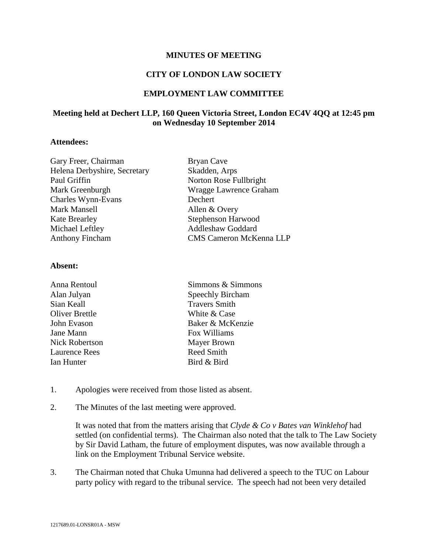### **MINUTES OF MEETING**

## **CITY OF LONDON LAW SOCIETY**

## **EMPLOYMENT LAW COMMITTEE**

# **Meeting held at Dechert LLP, 160 Queen Victoria Street, London EC4V 4QQ at 12:45 pm on Wednesday 10 September 2014**

## **Attendees:**

| Gary Freer, Chairman         | <b>Bryan Cave</b>              |
|------------------------------|--------------------------------|
| Helena Derbyshire, Secretary | Skadden, Arps                  |
| Paul Griffin                 | Norton Rose Fullbright         |
| Mark Greenburgh              | Wragge Lawrence Graham         |
| Charles Wynn-Evans           | Dechert                        |
| Mark Mansell                 | Allen & Overy                  |
| <b>Kate Brearley</b>         | Stephenson Harwood             |
| Michael Leftley              | <b>Addleshaw Goddard</b>       |
| <b>Anthony Fincham</b>       | <b>CMS Cameron McKenna LLP</b> |
|                              |                                |

### **Absent:**

| Anna Rentoul          | Simmons & Simmons    |
|-----------------------|----------------------|
| Alan Julyan           | Speechly Bircham     |
| Sian Keall            | <b>Travers Smith</b> |
| <b>Oliver Brettle</b> | White & Case         |
| John Evason           | Baker & McKenzie     |
| Jane Mann             | Fox Williams         |
| <b>Nick Robertson</b> | Mayer Brown          |
| <b>Laurence Rees</b>  | <b>Reed Smith</b>    |
| Ian Hunter            | Bird & Bird          |
|                       |                      |

- 1. Apologies were received from those listed as absent.
- 2. The Minutes of the last meeting were approved.

It was noted that from the matters arising that *Clyde & Co v Bates van Winklehof* had settled (on confidential terms). The Chairman also noted that the talk to The Law Society by Sir David Latham, the future of employment disputes, was now available through a link on the Employment Tribunal Service website.

3. The Chairman noted that Chuka Umunna had delivered a speech to the TUC on Labour party policy with regard to the tribunal service. The speech had not been very detailed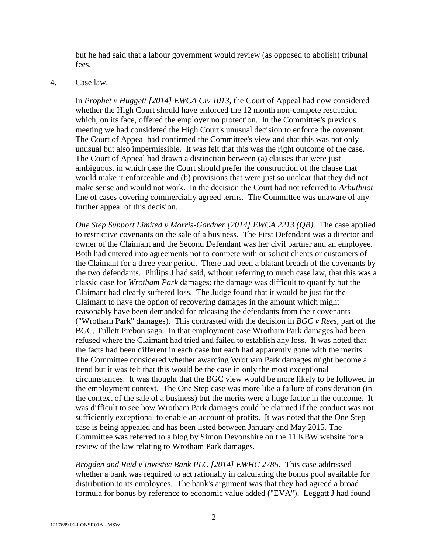but he had said that a labour government would review (as opposed to abolish) tribunal fees.

### 4. Case law.

In *Prophet v Huggett [2014] EWCA Civ 1013,* the Court of Appeal had now considered whether the High Court should have enforced the 12 month non-compete restriction which, on its face, offered the employer no protection. In the Committee's previous meeting we had considered the High Court's unusual decision to enforce the covenant. The Court of Appeal had confirmed the Committee's view and that this was not only unusual but also impermissible. It was felt that this was the right outcome of the case. The Court of Appeal had drawn a distinction between (a) clauses that were just ambiguous, in which case the Court should prefer the construction of the clause that would make it enforceable and (b) provisions that were just so unclear that they did not make sense and would not work. In the decision the Court had not referred to *Arbuthnot* line of cases covering commercially agreed terms. The Committee was unaware of any further appeal of this decision.

*One Step Support Limited v Morris-Gardner [2014] EWCA 2213 (QB)*. The case applied to restrictive covenants on the sale of a business. The First Defendant was a director and owner of the Claimant and the Second Defendant was her civil partner and an employee. Both had entered into agreements not to compete with or solicit clients or customers of the Claimant for a three year period. There had been a blatant breach of the covenants by the two defendants. Philips J had said, without referring to much case law, that this was a classic case for *Wrotham Park* damages: the damage was difficult to quantify but the Claimant had clearly suffered loss. The Judge found that it would be just for the Claimant to have the option of recovering damages in the amount which might reasonably have been demanded for releasing the defendants from their covenants ("Wrotham Park" damages). This contrasted with the decision in *BGC v Rees*, part of the BGC, Tullett Prebon saga. In that employment case Wrotham Park damages had been refused where the Claimant had tried and failed to establish any loss. It was noted that the facts had been different in each case but each had apparently gone with the merits. The Committee considered whether awarding Wrotham Park damages might become a trend but it was felt that this would be the case in only the most exceptional circumstances. It was thought that the BGC view would be more likely to be followed in the employment context. The One Step case was more like a failure of consideration (in the context of the sale of a business) but the merits were a huge factor in the outcome. It was difficult to see how Wrotham Park damages could be claimed if the conduct was not sufficiently exceptional to enable an account of profits. It was noted that the One Step case is being appealed and has been listed between January and May 2015. The Committee was referred to a blog by Simon Devonshire on the 11 KBW website for a review of the law relating to Wrotham Park damages.

*Brogden and Reid v Investec Bank PLC [2014] EWHC 2785*. This case addressed whether a bank was required to act rationally in calculating the bonus pool available for distribution to its employees. The bank's argument was that they had agreed a broad formula for bonus by reference to economic value added ("EVA"). Leggatt J had found